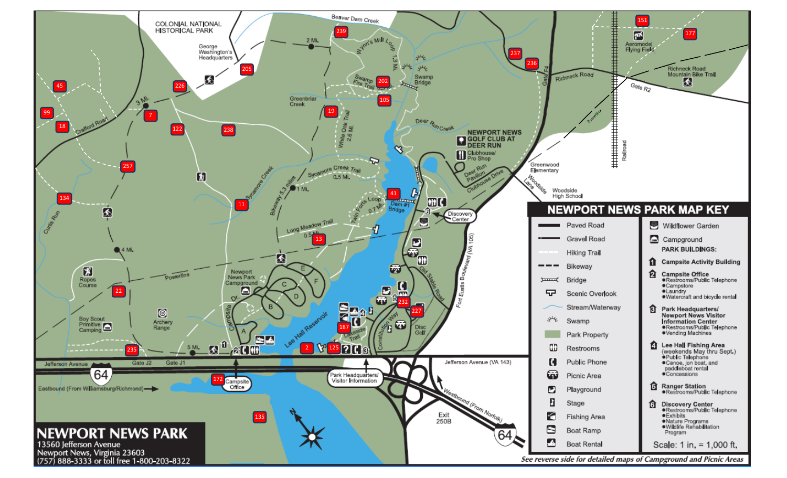